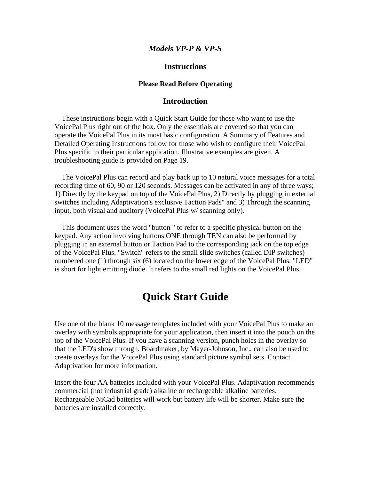#### *Models VP-P & VP-S*

### **Instructions**

#### **Please Read Before Operating**

#### **Introduction**

 These instructions begin with a Quick Start Guide for those who want to use the VoicePal Plus right out of the box. Only the essentials are covered so that you can operate the VoicePal Plus in its most basic configuration. A Summary of Features and Detailed Operating Instructions follow for those who wish to configure their VoicePal Plus specific to their particular application. Illustrative examples are given. A troubleshooting guide is provided on Page 19.

 The VoicePal Plus can record and play back up to 10 natural voice messages for a total recording time of 60, 90 or 120 seconds. Messages can be activated in any of three ways; 1) Directly by the keypad on top of the VoicePal Plus, 2) Directly by plugging in external switches including Adaptivation's exclusive Taction Pads" and 3) Through the scanning input, both visual and auditory (VoicePal Plus w/ scanning only).

 This document uses the word "button " to refer to a specific physical button on the keypad. Any action involving buttons ONE through TEN can also be performed by plugging in an external button or Taction Pad to the corresponding jack on the top edge of the VoicePal Plus. "Switch" refers to the small slide switches (called DIP switches) numbered one (1) through six (6) located on the lower edge of the VoicePal Plus. "LED" is short for light emitting diode. It refers to the small red lights on the VoicePal Plus.

## **Quick Start Guide**

Use one of the blank 10 message templates included with your VoicePal Plus to make an overlay with symbols appropriate for your application, then insert it into the pouch on the top of the VoicePal Plus. If you have a scanning version, punch holes in the overlay so that the LED's show through. Boardmaker, by Mayer-Johnson, Inc., can also be used to create overlays for the VoicePal Plus using standard picture symbol sets. Contact Adaptivation for more information.

Insert the four AA batteries included with your VoicePal Plus. Adaptivation recommends commercial (not industrial grade) alkaline or rechargeable alkaline batteries. Rechargeable NiCad batteries will work but battery life will be shorter. Make sure the batteries are installed correctly.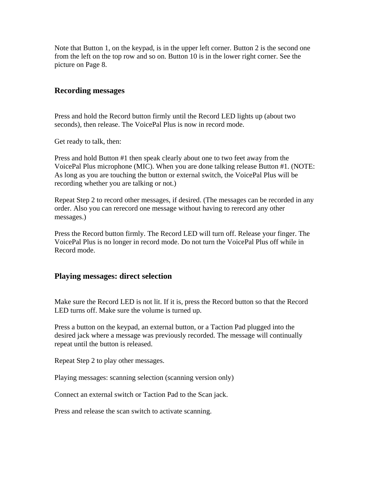Note that Button 1, on the keypad, is in the upper left corner. Button 2 is the second one from the left on the top row and so on. Button 10 is in the lower right corner. See the picture on Page 8.

### **Recording messages**

Press and hold the Record button firmly until the Record LED lights up (about two seconds), then release. The VoicePal Plus is now in record mode.

Get ready to talk, then:

Press and hold Button #1 then speak clearly about one to two feet away from the VoicePal Plus microphone (MIC). When you are done talking release Button #1. (NOTE: As long as you are touching the button or external switch, the VoicePal Plus will be recording whether you are talking or not.)

Repeat Step 2 to record other messages, if desired. (The messages can be recorded in any order. Also you can rerecord one message without having to rerecord any other messages.)

Press the Record button firmly. The Record LED will turn off. Release your finger. The VoicePal Plus is no longer in record mode. Do not turn the VoicePal Plus off while in Record mode.

### **Playing messages: direct selection**

Make sure the Record LED is not lit. If it is, press the Record button so that the Record LED turns off. Make sure the volume is turned up.

Press a button on the keypad, an external button, or a Taction Pad plugged into the desired jack where a message was previously recorded. The message will continually repeat until the button is released.

Repeat Step 2 to play other messages.

Playing messages: scanning selection (scanning version only)

Connect an external switch or Taction Pad to the Scan jack.

Press and release the scan switch to activate scanning.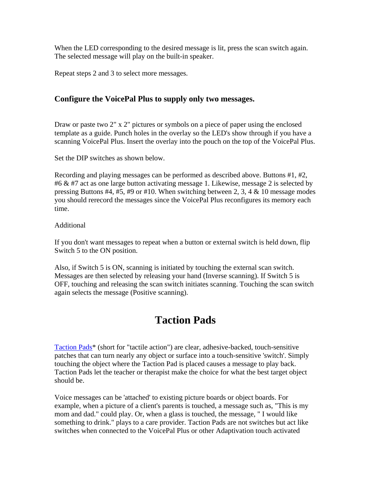When the LED corresponding to the desired message is lit, press the scan switch again. The selected message will play on the built-in speaker.

Repeat steps 2 and 3 to select more messages.

### **Configure the VoicePal Plus to supply only two messages.**

Draw or paste two 2" x 2" pictures or symbols on a piece of paper using the enclosed template as a guide. Punch holes in the overlay so the LED's show through if you have a scanning VoicePal Plus. Insert the overlay into the pouch on the top of the VoicePal Plus.

Set the DIP switches as shown below.

Recording and playing messages can be performed as described above. Buttons #1, #2, #6 & #7 act as one large button activating message 1. Likewise, message 2 is selected by pressing Buttons #4, #5, #9 or #10. When switching between 2, 3, 4 & 10 message modes you should rerecord the messages since the VoicePal Plus reconfigures its memory each time.

#### Additional

If you don't want messages to repeat when a button or external switch is held down, flip Switch 5 to the ON position.

Also, if Switch 5 is ON, scanning is initiated by touching the external scan switch. Messages are then selected by releasing your hand (Inverse scanning). If Switch 5 is OFF, touching and releasing the scan switch initiates scanning. Touching the scan switch again selects the message (Positive scanning).

## **Taction Pads**

Taction Pads\* (short for "tactile action") are clear, adhesive-backed, touch-sensitive patches that can turn nearly any object or surface into a touch-sensitive 'switch'. Simply touching the object where the Taction Pad is placed causes a message to play back. Taction Pads let the teacher or therapist make the choice for what the best target object should be.

Voice messages can be 'attached' to existing picture boards or object boards. For example, when a picture of a client's parents is touched, a message such as, "This is my mom and dad." could play. Or, when a glass is touched, the message, " I would like something to drink." plays to a care provider. Taction Pads are not switches but act like switches when connected to the VoicePal Plus or other Adaptivation touch activated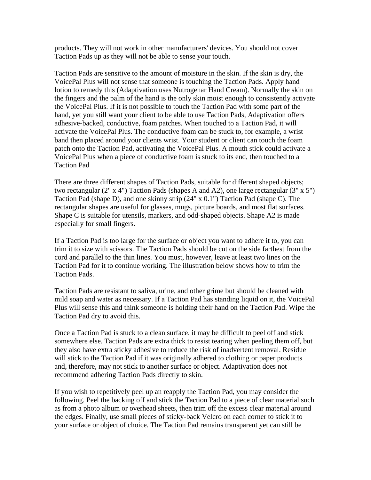products. They will not work in other manufacturers' devices. You should not cover Taction Pads up as they will not be able to sense your touch.

Taction Pads are sensitive to the amount of moisture in the skin. If the skin is dry, the VoicePal Plus will not sense that someone is touching the Taction Pads. Apply hand lotion to remedy this (Adaptivation uses Nutrogenar Hand Cream). Normally the skin on the fingers and the palm of the hand is the only skin moist enough to consistently activate the VoicePal Plus. If it is not possible to touch the Taction Pad with some part of the hand, yet you still want your client to be able to use Taction Pads, Adaptivation offers adhesive-backed, conductive, foam patches. When touched to a Taction Pad, it will activate the VoicePal Plus. The conductive foam can be stuck to, for example, a wrist band then placed around your clients wrist. Your student or client can touch the foam patch onto the Taction Pad, activating the VoicePal Plus. A mouth stick could activate a VoicePal Plus when a piece of conductive foam is stuck to its end, then touched to a Taction Pad

There are three different shapes of Taction Pads, suitable for different shaped objects; two rectangular (2" x 4") Taction Pads (shapes A and A2), one large rectangular (3" x 5") Taction Pad (shape D), and one skinny strip (24" x 0.1") Taction Pad (shape C). The rectangular shapes are useful for glasses, mugs, picture boards, and most flat surfaces. Shape C is suitable for utensils, markers, and odd-shaped objects. Shape A2 is made especially for small fingers.

If a Taction Pad is too large for the surface or object you want to adhere it to, you can trim it to size with scissors. The Taction Pads should be cut on the side farthest from the cord and parallel to the thin lines. You must, however, leave at least two lines on the Taction Pad for it to continue working. The illustration below shows how to trim the Taction Pads.

Taction Pads are resistant to saliva, urine, and other grime but should be cleaned with mild soap and water as necessary. If a Taction Pad has standing liquid on it, the VoicePal Plus will sense this and think someone is holding their hand on the Taction Pad. Wipe the Taction Pad dry to avoid this.

Once a Taction Pad is stuck to a clean surface, it may be difficult to peel off and stick somewhere else. Taction Pads are extra thick to resist tearing when peeling them off, but they also have extra sticky adhesive to reduce the risk of inadvertent removal. Residue will stick to the Taction Pad if it was originally adhered to clothing or paper products and, therefore, may not stick to another surface or object. Adaptivation does not recommend adhering Taction Pads directly to skin.

If you wish to repetitively peel up an reapply the Taction Pad, you may consider the following. Peel the backing off and stick the Taction Pad to a piece of clear material such as from a photo album or overhead sheets, then trim off the excess clear material around the edges. Finally, use small pieces of sticky-back Velcro on each corner to stick it to your surface or object of choice. The Taction Pad remains transparent yet can still be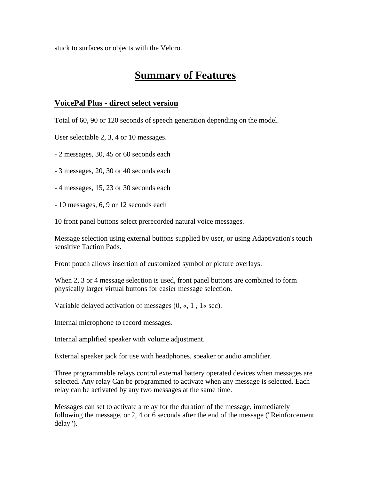stuck to surfaces or objects with the Velcro.

## **Summary of Features**

### **VoicePal Plus - direct select version**

Total of 60, 90 or 120 seconds of speech generation depending on the model.

User selectable 2, 3, 4 or 10 messages.

- 2 messages, 30, 45 or 60 seconds each

- 3 messages, 20, 30 or 40 seconds each

- 4 messages, 15, 23 or 30 seconds each

- 10 messages, 6, 9 or 12 seconds each

10 front panel buttons select prerecorded natural voice messages.

Message selection using external buttons supplied by user, or using Adaptivation's touch sensitive Taction Pads.

Front pouch allows insertion of customized symbol or picture overlays.

When 2, 3 or 4 message selection is used, front panel buttons are combined to form physically larger virtual buttons for easier message selection.

Variable delayed activation of messages (0, «, 1 , 1« sec).

Internal microphone to record messages.

Internal amplified speaker with volume adjustment.

External speaker jack for use with headphones, speaker or audio amplifier.

Three programmable relays control external battery operated devices when messages are selected. Any relay Can be programmed to activate when any message is selected. Each relay can be activated by any two messages at the same time.

Messages can set to activate a relay for the duration of the message, immediately following the message, or 2, 4 or 6 seconds after the end of the message ("Reinforcement delay").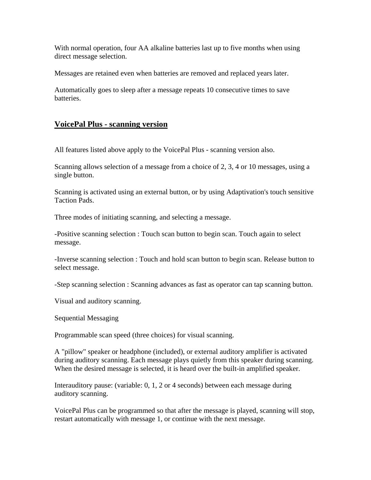With normal operation, four AA alkaline batteries last up to five months when using direct message selection.

Messages are retained even when batteries are removed and replaced years later.

Automatically goes to sleep after a message repeats 10 consecutive times to save batteries.

### **VoicePal Plus - scanning version**

All features listed above apply to the VoicePal Plus - scanning version also.

Scanning allows selection of a message from a choice of 2, 3, 4 or 10 messages, using a single button.

Scanning is activated using an external button, or by using Adaptivation's touch sensitive Taction Pads.

Three modes of initiating scanning, and selecting a message.

-Positive scanning selection : Touch scan button to begin scan. Touch again to select message.

-Inverse scanning selection : Touch and hold scan button to begin scan. Release button to select message.

-Step scanning selection : Scanning advances as fast as operator can tap scanning button.

Visual and auditory scanning.

Sequential Messaging

Programmable scan speed (three choices) for visual scanning.

A "pillow" speaker or headphone (included), or external auditory amplifier is activated during auditory scanning. Each message plays quietly from this speaker during scanning. When the desired message is selected, it is heard over the built-in amplified speaker.

Interauditory pause: (variable: 0, 1, 2 or 4 seconds) between each message during auditory scanning.

VoicePal Plus can be programmed so that after the message is played, scanning will stop, restart automatically with message 1, or continue with the next message.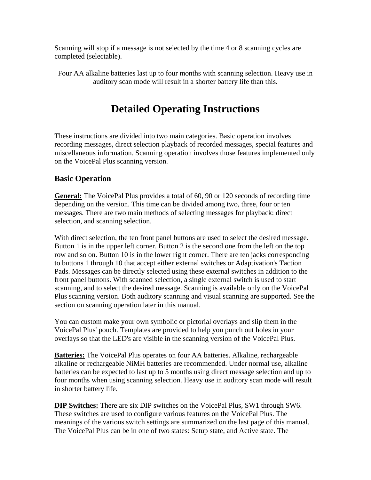Scanning will stop if a message is not selected by the time 4 or 8 scanning cycles are completed (selectable).

Four AA alkaline batteries last up to four months with scanning selection. Heavy use in auditory scan mode will result in a shorter battery life than this.

# **Detailed Operating Instructions**

These instructions are divided into two main categories. Basic operation involves recording messages, direct selection playback of recorded messages, special features and miscellaneous information. Scanning operation involves those features implemented only on the VoicePal Plus scanning version.

### **Basic Operation**

**General:** The VoicePal Plus provides a total of 60, 90 or 120 seconds of recording time depending on the version. This time can be divided among two, three, four or ten messages. There are two main methods of selecting messages for playback: direct selection, and scanning selection.

With direct selection, the ten front panel buttons are used to select the desired message. Button 1 is in the upper left corner. Button 2 is the second one from the left on the top row and so on. Button 10 is in the lower right corner. There are ten jacks corresponding to buttons 1 through 10 that accept either external switches or Adaptivation's Taction Pads. Messages can be directly selected using these external switches in addition to the front panel buttons. With scanned selection, a single external switch is used to start scanning, and to select the desired message. Scanning is available only on the VoicePal Plus scanning version. Both auditory scanning and visual scanning are supported. See the section on scanning operation later in this manual.

You can custom make your own symbolic or pictorial overlays and slip them in the VoicePal Plus' pouch. Templates are provided to help you punch out holes in your overlays so that the LED's are visible in the scanning version of the VoicePal Plus.

**Batteries:** The VoicePal Plus operates on four AA batteries. Alkaline, rechargeable alkaline or rechargeable NiMH batteries are recommended. Under normal use, alkaline batteries can be expected to last up to 5 months using direct message selection and up to four months when using scanning selection. Heavy use in auditory scan mode will result in shorter battery life.

**DIP Switches:** There are six DIP switches on the VoicePal Plus, SW1 through SW6. These switches are used to configure various features on the VoicePal Plus. The meanings of the various switch settings are summarized on the last page of this manual. The VoicePal Plus can be in one of two states: Setup state, and Active state. The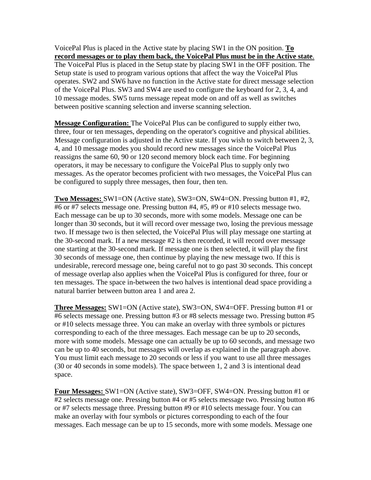VoicePal Plus is placed in the Active state by placing SW1 in the ON position. **To record messages or to play them back, the VoicePal Plus must be in the Active state**. The VoicePal Plus is placed in the Setup state by placing SW1 in the OFF position. The Setup state is used to program various options that affect the way the VoicePal Plus operates. SW2 and SW6 have no function in the Active state for direct message selection of the VoicePal Plus. SW3 and SW4 are used to configure the keyboard for 2, 3, 4, and 10 message modes. SW5 turns message repeat mode on and off as well as switches between positive scanning selection and inverse scanning selection.

**Message Configuration:** The VoicePal Plus can be configured to supply either two, three, four or ten messages, depending on the operator's cognitive and physical abilities. Message configuration is adjusted in the Active state. If you wish to switch between 2, 3, 4, and 10 message modes you should record new messages since the VoicePal Plus reassigns the same 60, 90 or 120 second memory block each time. For beginning operators, it may be necessary to configure the VoicePal Plus to supply only two messages. As the operator becomes proficient with two messages, the VoicePal Plus can be configured to supply three messages, then four, then ten.

**Two Messages:** SW1=ON (Active state), SW3=ON, SW4=ON. Pressing button #1, #2, #6 or #7 selects message one. Pressing button #4, #5, #9 or #10 selects message two. Each message can be up to 30 seconds, more with some models. Message one can be longer than 30 seconds, but it will record over message two, losing the previous message two. If message two is then selected, the VoicePal Plus will play message one starting at the 30-second mark. If a new message #2 is then recorded, it will record over message one starting at the 30-second mark. If message one is then selected, it will play the first 30 seconds of message one, then continue by playing the new message two. If this is undesirable, rerecord message one, being careful not to go past 30 seconds. This concept of message overlap also applies when the VoicePal Plus is configured for three, four or ten messages. The space in-between the two halves is intentional dead space providing a natural barrier between button area 1 and area 2.

**Three Messages:** SW1=ON (Active state), SW3=ON, SW4=OFF. Pressing button #1 or #6 selects message one. Pressing button #3 or #8 selects message two. Pressing button #5 or #10 selects message three. You can make an overlay with three symbols or pictures corresponding to each of the three messages. Each message can be up to 20 seconds, more with some models. Message one can actually be up to 60 seconds, and message two can be up to 40 seconds, but messages will overlap as explained in the paragraph above. You must limit each message to 20 seconds or less if you want to use all three messages (30 or 40 seconds in some models). The space between 1, 2 and 3 is intentional dead space.

**Four Messages:** SW1=ON (Active state), SW3=OFF, SW4=ON. Pressing button #1 or #2 selects message one. Pressing button #4 or #5 selects message two. Pressing button #6 or #7 selects message three. Pressing button #9 or #10 selects message four. You can make an overlay with four symbols or pictures corresponding to each of the four messages. Each message can be up to 15 seconds, more with some models. Message one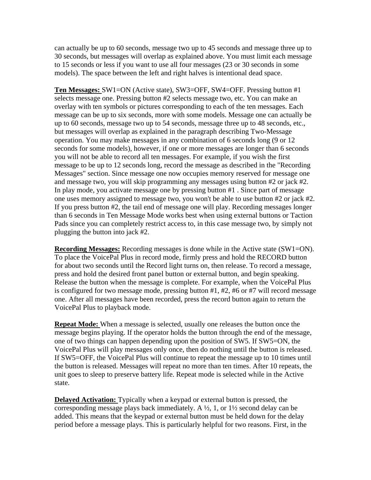can actually be up to 60 seconds, message two up to 45 seconds and message three up to 30 seconds, but messages will overlap as explained above. You must limit each message to 15 seconds or less if you want to use all four messages (23 or 30 seconds in some models). The space between the left and right halves is intentional dead space.

**Ten Messages:** SW1=ON (Active state), SW3=OFF, SW4=OFF. Pressing button #1 selects message one. Pressing button #2 selects message two, etc. You can make an overlay with ten symbols or pictures corresponding to each of the ten messages. Each message can be up to six seconds, more with some models. Message one can actually be up to 60 seconds, message two up to 54 seconds, message three up to 48 seconds, etc., but messages will overlap as explained in the paragraph describing Two-Message operation. You may make messages in any combination of 6 seconds long (9 or 12 seconds for some models), however, if one or more messages are longer than 6 seconds you will not be able to record all ten messages. For example, if you wish the first message to be up to 12 seconds long, record the message as described in the "Recording Messages" section. Since message one now occupies memory reserved for message one and message two, you will skip programming any messages using button #2 or jack #2. In play mode, you activate message one by pressing button #1 . Since part of message one uses memory assigned to message two, you won't be able to use button #2 or jack #2. If you press button #2, the tail end of message one will play. Recording messages longer than 6 seconds in Ten Message Mode works best when using external buttons or Taction Pads since you can completely restrict access to, in this case message two, by simply not plugging the button into jack #2.

**Recording Messages:** Recording messages is done while in the Active state (SW1=ON). To place the VoicePal Plus in record mode, firmly press and hold the RECORD button for about two seconds until the Record light turns on, then release. To record a message, press and hold the desired front panel button or external button, and begin speaking. Release the button when the message is complete. For example, when the VoicePal Plus is configured for two message mode, pressing button #1, #2, #6 or #7 will record message one. After all messages have been recorded, press the record button again to return the VoicePal Plus to playback mode.

**Repeat Mode:** When a message is selected, usually one releases the button once the message begins playing. If the operator holds the button through the end of the message, one of two things can happen depending upon the position of SW5. If SW5=ON, the VoicePal Plus will play messages only once, then do nothing until the button is released. If SW5=OFF, the VoicePal Plus will continue to repeat the message up to 10 times until the button is released. Messages will repeat no more than ten times. After 10 repeats, the unit goes to sleep to preserve battery life. Repeat mode is selected while in the Active state.

**Delayed Activation:** Typically when a keypad or external button is pressed, the corresponding message plays back immediately. A ½, 1, or 1½ second delay can be added. This means that the keypad or external button must be held down for the delay period before a message plays. This is particularly helpful for two reasons. First, in the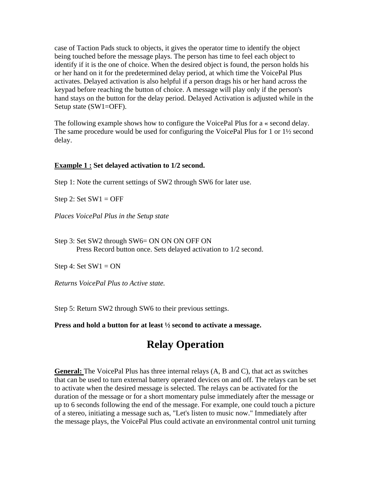case of Taction Pads stuck to objects, it gives the operator time to identify the object being touched before the message plays. The person has time to feel each object to identify if it is the one of choice. When the desired object is found, the person holds his or her hand on it for the predetermined delay period, at which time the VoicePal Plus activates. Delayed activation is also helpful if a person drags his or her hand across the keypad before reaching the button of choice. A message will play only if the person's hand stays on the button for the delay period. Delayed Activation is adjusted while in the Setup state (SW1=OFF).

The following example shows how to configure the VoicePal Plus for a « second delay. The same procedure would be used for configuring the VoicePal Plus for 1 or 1½ second delay.

### **Example 1 : Set delayed activation to 1/2 second.**

Step 1: Note the current settings of SW2 through SW6 for later use.

Step 2: Set  $SW1 = OFF$ 

*Places VoicePal Plus in the Setup state*

Step 3: Set SW2 through SW6= ON ON ON OFF ON Press Record button once. Sets delayed activation to 1/2 second.

Step 4: Set  $SW1 = ON$ 

*Returns VoicePal Plus to Active state.*

Step 5: Return SW2 through SW6 to their previous settings.

**Press and hold a button for at least ½ second to activate a message.**

## **Relay Operation**

**General:** The VoicePal Plus has three internal relays (A, B and C), that act as switches that can be used to turn external battery operated devices on and off. The relays can be set to activate when the desired message is selected. The relays can be activated for the duration of the message or for a short momentary pulse immediately after the message or up to 6 seconds following the end of the message. For example, one could touch a picture of a stereo, initiating a message such as, "Let's listen to music now." Immediately after the message plays, the VoicePal Plus could activate an environmental control unit turning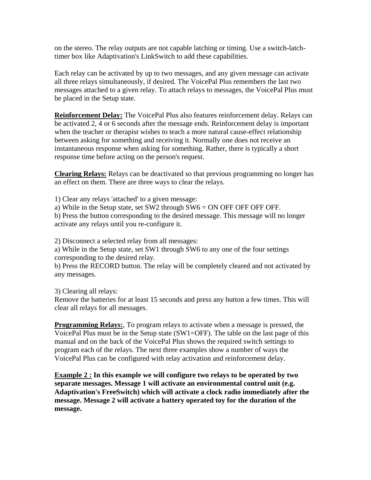on the stereo. The relay outputs are not capable latching or timing. Use a switch-latchtimer box like Adaptivation's LinkSwitch to add these capabilities.

Each relay can be activated by up to two messages, and any given message can activate all three relays simultaneously, if desired. The VoicePal Plus remembers the last two messages attached to a given relay. To attach relays to messages, the VoicePal Plus must be placed in the Setup state.

**Reinforcement Delay:** The VoicePal Plus also features reinforcement delay. Relays can be activated 2, 4 or 6 seconds after the message ends. Reinforcement delay is important when the teacher or therapist wishes to teach a more natural cause-effect relationship between asking for something and receiving it. Normally one does not receive an instantaneous response when asking for something. Rather, there is typically a short response time before acting on the person's request.

**Clearing Relays:** Relays can be deactivated so that previous programming no longer has an effect on them. There are three ways to clear the relays.

1) Clear any relays 'attached' to a given message:

a) While in the Setup state, set SW2 through SW6 = ON OFF OFF OFF OFF.

b) Press the button corresponding to the desired message. This message will no longer activate any relays until you re-configure it.

2) Disconnect a selected relay from all messages:

a) While in the Setup state, set SW1 through SW6 to any one of the four settings corresponding to the desired relay.

b) Press the RECORD button. The relay will be completely cleared and not activated by any messages.

3) Clearing all relays:

Remove the batteries for at least 15 seconds and press any button a few times. This will clear all relays for all messages.

**Programming Relays:**, To program relays to activate when a message is pressed, the VoicePal Plus must be in the Setup state (SW1=OFF). The table on the last page of this manual and on the back of the VoicePal Plus shows the required switch settings to program each of the relays. The next three examples show a number of ways the VoicePal Plus can be configured with relay activation and reinforcement delay.

**Example 2 : In this example we will configure two relays to be operated by two separate messages. Message 1 will activate an environmental control unit (e.g. Adaptivation's FreeSwitch) which will activate a clock radio immediately after the message. Message 2 will activate a battery operated toy for the duration of the message.**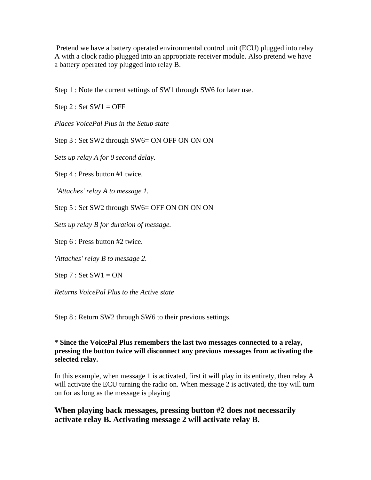Pretend we have a battery operated environmental control unit (ECU) plugged into relay A with a clock radio plugged into an appropriate receiver module. Also pretend we have a battery operated toy plugged into relay B.

Step 1 : Note the current settings of SW1 through SW6 for later use.

Step  $2:$  Set SW1 = OFF

*Places VoicePal Plus in the Setup state*

Step 3 : Set SW2 through SW6= ON OFF ON ON ON

*Sets up relay A for 0 second delay.*

Step 4 : Press button #1 twice.

 *'Attaches' relay A to message 1.*

Step 5 : Set SW2 through SW6= OFF ON ON ON ON

*Sets up relay B for duration of message.*

Step 6 : Press button #2 twice.

*'Attaches' relay B to message 2.*

Step  $7:$  Set SW1 = ON

*Returns VoicePal Plus to the Active state*

Step 8 : Return SW2 through SW6 to their previous settings.

### **\* Since the VoicePal Plus remembers the last two messages connected to a relay, pressing the button twice will disconnect any previous messages from activating the selected relay.**

In this example, when message 1 is activated, first it will play in its entirety, then relay A will activate the ECU turning the radio on. When message 2 is activated, the toy will turn on for as long as the message is playing

### **When playing back messages, pressing button #2 does not necessarily activate relay B. Activating message 2 will activate relay B.**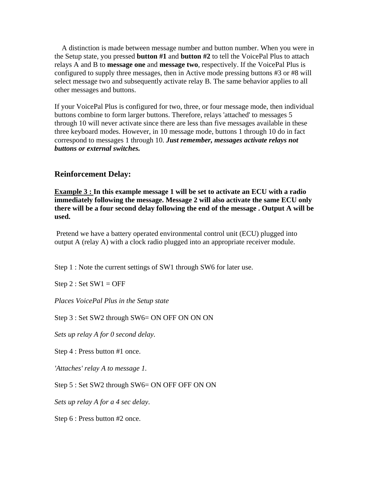A distinction is made between message number and button number. When you were in the Setup state, you pressed **button #1** and **button #2** to tell the VoicePal Plus to attach relays A and B to **message one** and **message two**, respectively. If the VoicePal Plus is configured to supply three messages, then in Active mode pressing buttons #3 or #8 will select message two and subsequently activate relay B. The same behavior applies to all other messages and buttons.

If your VoicePal Plus is configured for two, three, or four message mode, then individual buttons combine to form larger buttons. Therefore, relays 'attached' to messages 5 through 10 will never activate since there are less than five messages available in these three keyboard modes. However, in 10 message mode, buttons 1 through 10 do in fact correspond to messages 1 through 10. *Just remember, messages activate relays not buttons or external switches.*

### **Reinforcement Delay:**

**Example 3 : In this example message 1 will be set to activate an ECU with a radio immediately following the message. Message 2 will also activate the same ECU only there will be a four second delay following the end of the message . Output A will be used.**

 Pretend we have a battery operated environmental control unit (ECU) plugged into output A (relay A) with a clock radio plugged into an appropriate receiver module.

Step 1 : Note the current settings of SW1 through SW6 for later use.

Step  $2:$  Set SW1 = OFF

*Places VoicePal Plus in the Setup state*

Step 3 : Set SW2 through SW6= ON OFF ON ON ON

*Sets up relay A for 0 second delay.*

Step 4 : Press button #1 once.

*'Attaches' relay A to message 1.*

Step 5 : Set SW2 through SW6= ON OFF OFF ON ON

*Sets up relay A for a 4 sec delay*.

Step 6 : Press button #2 once.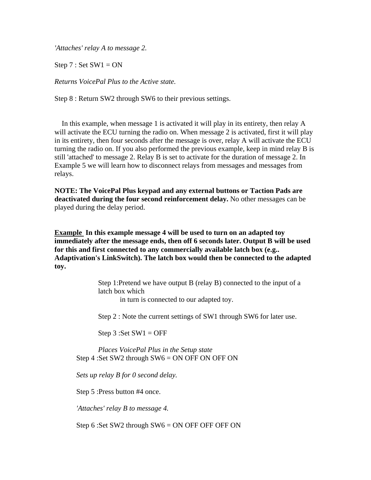*'Attaches' relay A to message 2.*

Step  $7:$  Set SW1 = ON

*Returns VoicePal Plus to the Active state.*

Step 8 : Return SW2 through SW6 to their previous settings.

 In this example, when message 1 is activated it will play in its entirety, then relay A will activate the ECU turning the radio on. When message 2 is activated, first it will play in its entirety, then four seconds after the message is over, relay A will activate the ECU turning the radio on. If you also performed the previous example, keep in mind relay B is still 'attached' to message 2. Relay B is set to activate for the duration of message 2. In Example 5 we will learn how to disconnect relays from messages and messages from relays.

**NOTE: The VoicePal Plus keypad and any external buttons or Taction Pads are deactivated during the four second reinforcement delay.** No other messages can be played during the delay period.

**Example In this example message 4 will be used to turn on an adapted toy immediately after the message ends, then off 6 seconds later. Output B will be used for this and first connected to any commercially available latch box (e.g.. Adaptivation's LinkSwitch). The latch box would then be connected to the adapted toy.**

> Step 1:Pretend we have output B (relay B) connected to the input of a latch box which

> > in turn is connected to our adapted toy.

Step 2 : Note the current settings of SW1 through SW6 for later use.

Step  $3:Set$  SW $1 = OFF$ 

*Places VoicePal Plus in the Setup state* Step 4 :Set SW2 through SW6 = ON OFF ON OFF ON

*Sets up relay B for 0 second delay.*

Step 5 :Press button #4 once.

*'Attaches' relay B to message 4.*

Step 6 :Set SW2 through  $SW6 = ON$  OFF OFF OFF ON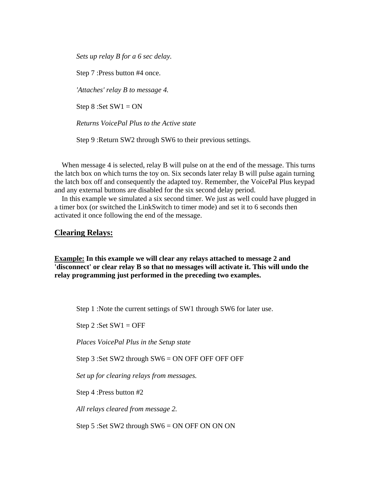*Sets up relay B for a 6 sec delay.*

Step 7 :Press button #4 once.

*'Attaches' relay B to message 4.*

Step  $8 : Set SW1 = ON$ 

*Returns VoicePal Plus to the Active state*

Step 9 :Return SW2 through SW6 to their previous settings.

When message 4 is selected, relay B will pulse on at the end of the message. This turns the latch box on which turns the toy on. Six seconds later relay B will pulse again turning the latch box off and consequently the adapted toy. Remember, the VoicePal Plus keypad and any external buttons are disabled for the six second delay period.

 In this example we simulated a six second timer. We just as well could have plugged in a timer box (or switched the LinkSwitch to timer mode) and set it to 6 seconds then activated it once following the end of the message.

#### **Clearing Relays:**

**Example: In this example we will clear any relays attached to message 2 and 'disconnect' or clear relay B so that no messages will activate it. This will undo the relay programming just performed in the preceding two examples.**

Step 1 :Note the current settings of SW1 through SW6 for later use.

Step 2 : Set  $SW1 = OFF$ 

*Places VoicePal Plus in the Setup state*

Step 3 :Set SW2 through SW6 = ON OFF OFF OFF OFF

*Set up for clearing relays from messages.*

Step 4 :Press button #2

*All relays cleared from message 2.*

Step 5 :Set SW2 through SW6 = ON OFF ON ON ON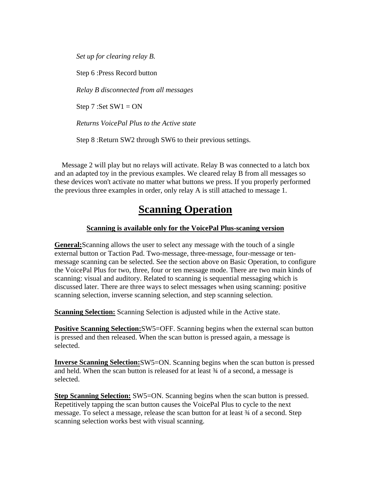*Set up for clearing relay B.*

Step 6 :Press Record button

*Relay B disconnected from all messages*

Step  $7 : Set SW1 = ON$ 

*Returns VoicePal Plus to the Active state*

Step 8 : Return SW2 through SW6 to their previous settings.

 Message 2 will play but no relays will activate. Relay B was connected to a latch box and an adapted toy in the previous examples. We cleared relay B from all messages so these devices won't activate no matter what buttons we press. If you properly performed the previous three examples in order, only relay A is still attached to message 1.

## **Scanning Operation**

### **Scanning is available only for the VoicePal Plus-scaning version**

**General:**Scanning allows the user to select any message with the touch of a single external button or Taction Pad. Two-message, three-message, four-message or tenmessage scanning can be selected. See the section above on Basic Operation, to configure the VoicePal Plus for two, three, four or ten message mode. There are two main kinds of scanning: visual and auditory. Related to scanning is sequential messaging which is discussed later. There are three ways to select messages when using scanning: positive scanning selection, inverse scanning selection, and step scanning selection.

**Scanning Selection:** Scanning Selection is adjusted while in the Active state.

**Positive Scanning Selection:**SW5=OFF. Scanning begins when the external scan button is pressed and then released. When the scan button is pressed again, a message is selected.

**Inverse Scanning Selection:**SW5=ON. Scanning begins when the scan button is pressed and held. When the scan button is released for at least ¾ of a second, a message is selected.

**Step Scanning Selection:** SW5=ON. Scanning begins when the scan button is pressed. Repetitively tapping the scan button causes the VoicePal Plus to cycle to the next message. To select a message, release the scan button for at least ¾ of a second. Step scanning selection works best with visual scanning.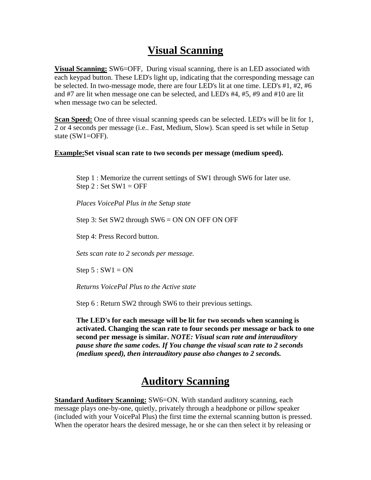# **Visual Scanning**

**Visual Scanning:** SW6=OFF, During visual scanning, there is an LED associated with each keypad button. These LED's light up, indicating that the corresponding message can be selected. In two-message mode, there are four LED's lit at one time. LED's #1, #2, #6 and #7 are lit when message one can be selected, and LED's #4, #5, #9 and #10 are lit when message two can be selected.

**Scan Speed:** One of three visual scanning speeds can be selected. LED's will be lit for 1, 2 or 4 seconds per message (i.e.. Fast, Medium, Slow). Scan speed is set while in Setup state (SW1=OFF).

### **Example:Set visual scan rate to two seconds per message (medium speed).**

Step 1 : Memorize the current settings of SW1 through SW6 for later use. Step  $2:$  Set SW1 = OFF

*Places VoicePal Plus in the Setup state*

Step 3: Set SW2 through SW6 = ON ON OFF ON OFF

Step 4: Press Record button.

*Sets scan rate to 2 seconds per message.*

Step  $5: SW1 = ON$ 

*Returns VoicePal Plus to the Active state*

Step 6 : Return SW2 through SW6 to their previous settings.

**The LED's for each message will be lit for two seconds when scanning is activated. Changing the scan rate to four seconds per message or back to one second per message is similar.** *NOTE: Visual scan rate and interauditory pause share the same codes. If You change the visual scan rate to 2 seconds (medium speed), then interauditory pause also changes to 2 seconds.*

## **Auditory Scanning**

**Standard Auditory Scanning:** SW6=ON. With standard auditory scanning, each message plays one-by-one, quietly, privately through a headphone or pillow speaker (included with your VoicePal Plus) the first time the external scanning button is pressed. When the operator hears the desired message, he or she can then select it by releasing or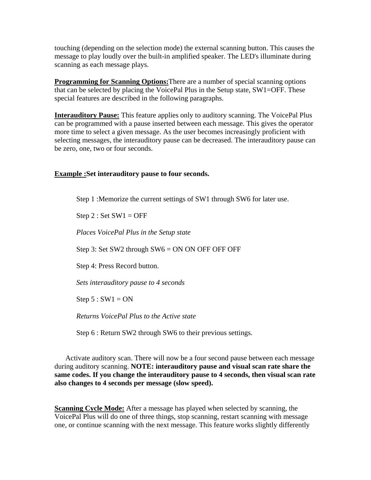touching (depending on the selection mode) the external scanning button. This causes the message to play loudly over the built-in amplified speaker. The LED's illuminate during scanning as each message plays.

**Programming for Scanning Options:** There are a number of special scanning options that can be selected by placing the VoicePal Plus in the Setup state, SW1=OFF. These special features are described in the following paragraphs.

**Interauditory Pause:** This feature applies only to auditory scanning. The VoicePal Plus can be programmed with a pause inserted between each message. This gives the operator more time to select a given message. As the user becomes increasingly proficient with selecting messages, the interauditory pause can be decreased. The interauditory pause can be zero, one, two or four seconds.

### **Example :Set interauditory pause to four seconds.**

Step 1 :Memorize the current settings of SW1 through SW6 for later use.

Step  $2:$  Set SW1 = OFF

*Places VoicePal Plus in the Setup state*

Step 3: Set SW2 through SW6 = ON ON OFF OFF OFF

Step 4: Press Record button.

*Sets interauditory pause to 4 seconds*

Step  $5: SW1 = ON$ 

*Returns VoicePal Plus to the Active state*

Step 6 : Return SW2 through SW6 to their previous settings.

 Activate auditory scan. There will now be a four second pause between each message during auditory scanning. **NOTE: interauditory pause and visual scan rate share the same codes. If you change the interauditory pause to 4 seconds, then visual scan rate also changes to 4 seconds per message (slow speed).**

**Scanning Cycle Mode:** After a message has played when selected by scanning, the VoicePal Plus will do one of three things, stop scanning, restart scanning with message one, or continue scanning with the next message. This feature works slightly differently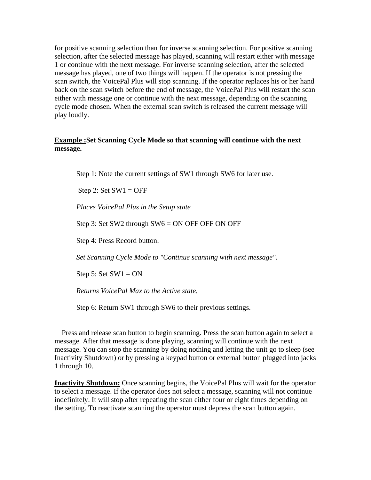for positive scanning selection than for inverse scanning selection. For positive scanning selection, after the selected message has played, scanning will restart either with message 1 or continue with the next message. For inverse scanning selection, after the selected message has played, one of two things will happen. If the operator is not pressing the scan switch, the VoicePal Plus will stop scanning. If the operator replaces his or her hand back on the scan switch before the end of message, the VoicePal Plus will restart the scan either with message one or continue with the next message, depending on the scanning cycle mode chosen. When the external scan switch is released the current message will play loudly.

### **Example :Set Scanning Cycle Mode so that scanning will continue with the next message.**

Step 1: Note the current settings of SW1 through SW6 for later use.

Step 2: Set  $SW1 = OFF$ 

*Places VoicePal Plus in the Setup state*

Step 3: Set SW2 through SW6 = ON OFF OFF ON OFF

Step 4: Press Record button.

*Set Scanning Cycle Mode to "Continue scanning with next message".*

Step 5: Set  $SW1 = ON$ 

*Returns VoicePal Max to the Active state.*

Step 6: Return SW1 through SW6 to their previous settings.

 Press and release scan button to begin scanning. Press the scan button again to select a message. After that message is done playing, scanning will continue with the next message. You can stop the scanning by doing nothing and letting the unit go to sleep (see Inactivity Shutdown) or by pressing a keypad button or external button plugged into jacks 1 through 10.

**Inactivity Shutdown:** Once scanning begins, the VoicePal Plus will wait for the operator to select a message. If the operator does not select a message, scanning will not continue indefinitely. It will stop after repeating the scan either four or eight times depending on the setting. To reactivate scanning the operator must depress the scan button again.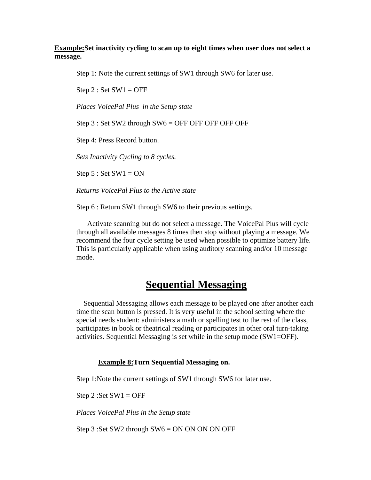### **Example:Set inactivity cycling to scan up to eight times when user does not select a message.**

Step 1: Note the current settings of SW1 through SW6 for later use.

Step  $2:$  Set SW1 = OFF

*Places VoicePal Plus in the Setup state*

Step 3 : Set SW2 through SW6 = OFF OFF OFF OFF OFF

Step 4: Press Record button.

*Sets Inactivity Cycling to 8 cycles.*

Step  $5:$  Set SW1 = ON

*Returns VoicePal Plus to the Active state*

Step 6 : Return SW1 through SW6 to their previous settings.

 Activate scanning but do not select a message. The VoicePal Plus will cycle through all available messages 8 times then stop without playing a message. We recommend the four cycle setting be used when possible to optimize battery life. This is particularly applicable when using auditory scanning and/or 10 message mode.

### **Sequential Messaging**

 Sequential Messaging allows each message to be played one after another each time the scan button is pressed. It is very useful in the school setting where the special needs student: administers a math or spelling test to the rest of the class, participates in book or theatrical reading or participates in other oral turn-taking activities. Sequential Messaging is set while in the setup mode (SW1=OFF).

#### **Example 8:Turn Sequential Messaging on.**

Step 1:Note the current settings of SW1 through SW6 for later use.

Step 2 : Set  $SW1 = OFF$ 

*Places VoicePal Plus in the Setup state*

Step 3 :Set SW2 through SW6 = ON ON ON ON OFF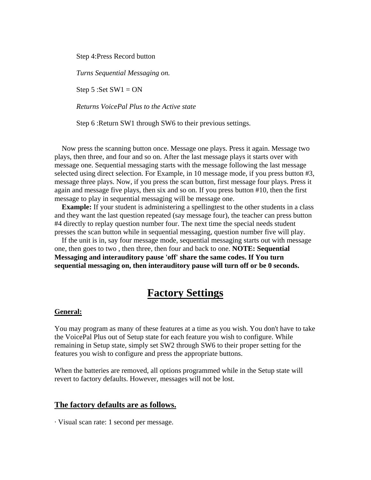Step 4:Press Record button

*Turns Sequential Messaging on.*

Step 5 :Set  $SW1 = ON$ 

*Returns VoicePal Plus to the Active state*

Step 6 : Return SW1 through SW6 to their previous settings.

 Now press the scanning button once. Message one plays. Press it again. Message two plays, then three, and four and so on. After the last message plays it starts over with message one. Sequential messaging starts with the message following the last message selected using direct selection. For Example, in 10 message mode, if you press button #3, message three plays. Now, if you press the scan button, first message four plays. Press it again and message five plays, then six and so on. If you press button #10, then the first message to play in sequential messaging will be message one.

**Example:** If your student is administering a spellingtest to the other students in a class and they want the last question repeated (say message four), the teacher can press button #4 directly to replay question number four. The next time the special needs student presses the scan button while in sequential messaging, question number five will play.

 If the unit is in, say four message mode, sequential messaging starts out with message one, then goes to two , then three, then four and back to one. **NOTE: Sequential Messaging and interauditory pause 'off' share the same codes. If You turn sequential messaging on, then interauditory pause will turn off or be 0 seconds.**

## **Factory Settings**

#### **General:**

You may program as many of these features at a time as you wish. You don't have to take the VoicePal Plus out of Setup state for each feature you wish to configure. While remaining in Setup state, simply set SW2 through SW6 to their proper setting for the features you wish to configure and press the appropriate buttons.

When the batteries are removed, all options programmed while in the Setup state will revert to factory defaults. However, messages will not be lost.

#### **The factory defaults are as follows.**

· Visual scan rate: 1 second per message.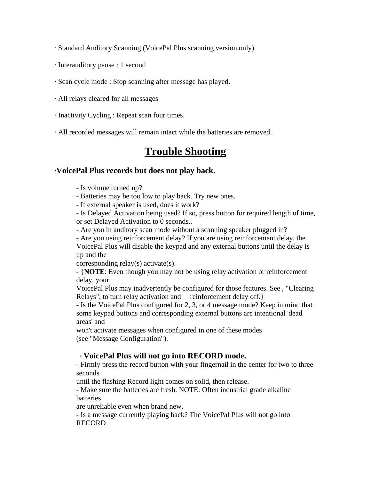· Standard Auditory Scanning (VoicePal Plus scanning version only)

- · Interauditory pause : 1 second
- · Scan cycle mode : Stop scanning after message has played.
- · All relays cleared for all messages
- · Inactivity Cycling : Repeat scan four times.
- · All recorded messages will remain intact while the batteries are removed.

## **Trouble Shooting**

### **·VoicePal Plus records but does not play back.**

- Is volume turned up?

- Batteries may be too low to play back. Try new ones.

- If external speaker is used, does it work?

- Is Delayed Activation being used? If so, press button for required length of time, or set Delayed Activation to 0 seconds..

- Are you in auditory scan mode without a scanning speaker plugged in?

- Are you using reinforcement delay? If you are using reinforcement delay, the VoicePal Plus will disable the keypad and any external buttons until the delay is up and the

corresponding relay(s) activate(s).

- {**NOTE**: Even though you may not be using relay activation or reinforcement delay, your

VoicePal Plus may inadvertently be configured for those features. See , "Clearing Relays", to turn relay activation and reinforcement delay off. }

- Is the VoicePal Plus configured for 2, 3, or 4 message mode? Keep in mind that some keypad buttons and corresponding external buttons are intentional 'dead areas' and

won't activate messages when configured in one of these modes (see "Message Configuration").

### **· VoicePal Plus will not go into RECORD mode.**

- Firmly press the record button with your fingernail in the center for two to three seconds

until the flashing Record light comes on solid, then release.

- Make sure the batteries are fresh. NOTE: Often industrial grade alkaline **batteries** 

are unreliable even when brand new.

- Is a message currently playing back? The VoicePal Plus will not go into RECORD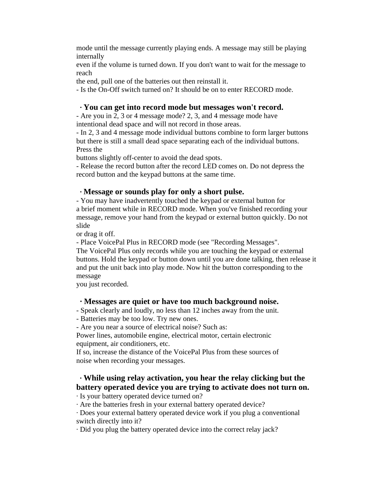mode until the message currently playing ends. A message may still be playing internally

even if the volume is turned down. If you don't want to wait for the message to reach

the end, pull one of the batteries out then reinstall it.

- Is the On-Off switch turned on? It should be on to enter RECORD mode.

### **· You can get into record mode but messages won't record.**

- Are you in 2, 3 or 4 message mode? 2, 3, and 4 message mode have intentional dead space and will not record in those areas.

- In 2, 3 and 4 message mode individual buttons combine to form larger buttons but there is still a small dead space separating each of the individual buttons. Press the

buttons slightly off-center to avoid the dead spots.

- Release the record button after the record LED comes on. Do not depress the record button and the keypad buttons at the same time.

### **· Message or sounds play for only a short pulse.**

- You may have inadvertently touched the keypad or external button for a brief moment while in RECORD mode. When you've finished recording your message, remove your hand from the keypad or external button quickly. Do not slide

or drag it off.

- Place VoicePal Plus in RECORD mode (see "Recording Messages".

The VoicePal Plus only records while you are touching the keypad or external buttons. Hold the keypad or button down until you are done talking, then release it and put the unit back into play mode. Now hit the button corresponding to the message

you just recorded.

### **· Messages are quiet or have too much background noise.**

- Speak clearly and loudly, no less than 12 inches away from the unit.

- Batteries may be too low. Try new ones.

- Are you near a source of electrical noise? Such as:

Power lines, automobile engine, electrical motor, certain electronic equipment, air conditioners, etc.

If so, increase the distance of the VoicePal Plus from these sources of noise when recording your messages.

### **· While using relay activation, you hear the relay clicking but the battery operated device you are trying to activate does not turn on.**

· Is your battery operated device turned on?

· Are the batteries fresh in your external battery operated device?

· Does your external battery operated device work if you plug a conventional switch directly into it?

· Did you plug the battery operated device into the correct relay jack?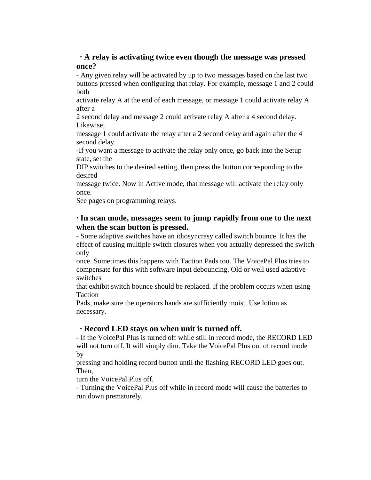### **· A relay is activating twice even though the message was pressed once?**

- Any given relay will be activated by up to two messages based on the last two buttons pressed when configuring that relay. For example, message 1 and 2 could both

activate relay A at the end of each message, or message 1 could activate relay A after a

2 second delay and message 2 could activate relay A after a 4 second delay. Likewise,

message 1 could activate the relay after a 2 second delay and again after the 4 second delay.

-If you want a message to activate the relay only once, go back into the Setup state, set the

DIP switches to the desired setting, then press the button corresponding to the desired

message twice. Now in Active mode, that message will activate the relay only once.

See pages on programming relays.

### **· In scan mode, messages seem to jump rapidly from one to the next when the scan button is pressed.**

- Some adaptive switches have an idiosyncrasy called switch bounce. It has the effect of causing multiple switch closures when you actually depressed the switch only

once. Sometimes this happens with Taction Pads too. The VoicePal Plus tries to compensate for this with software input debouncing. Old or well used adaptive switches

that exhibit switch bounce should be replaced. If the problem occurs when using Taction

Pads, make sure the operators hands are sufficiently moist. Use lotion as necessary.

### **· Record LED stays on when unit is turned off.**

- If the VoicePal Plus is turned off while still in record mode, the RECORD LED will not turn off. It will simply dim. Take the VoicePal Plus out of record mode by

pressing and holding record button until the flashing RECORD LED goes out. Then,

turn the VoicePal Plus off.

- Turning the VoicePal Plus off while in record mode will cause the batteries to run down prematurely.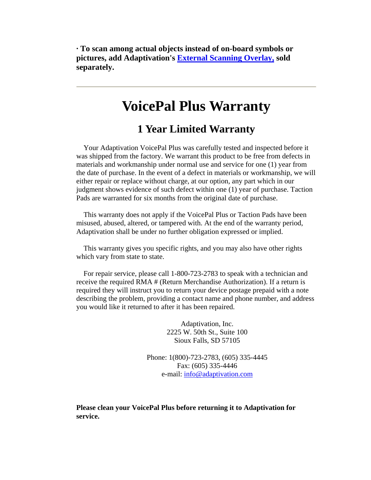**· To scan among actual objects instead of on-board symbols or pictures, add Adaptivation's External Scanning Overlay, sold separately.**

# **VoicePal Plus Warranty**

## **1 Year Limited Warranty**

 Your Adaptivation VoicePal Plus was carefully tested and inspected before it was shipped from the factory. We warrant this product to be free from defects in materials and workmanship under normal use and service for one (1) year from the date of purchase. In the event of a defect in materials or workmanship, we will either repair or replace without charge, at our option, any part which in our judgment shows evidence of such defect within one (1) year of purchase. Taction Pads are warranted for six months from the original date of purchase.

 This warranty does not apply if the VoicePal Plus or Taction Pads have been misused, abused, altered, or tampered with. At the end of the warranty period, Adaptivation shall be under no further obligation expressed or implied.

 This warranty gives you specific rights, and you may also have other rights which vary from state to state.

 For repair service, please call 1-800-723-2783 to speak with a technician and receive the required RMA # (Return Merchandise Authorization). If a return is required they will instruct you to return your device postage prepaid with a note describing the problem, providing a contact name and phone number, and address you would like it returned to after it has been repaired.

> Adaptivation, Inc. 2225 W. 50th St., Suite 100 Sioux Falls, SD 57105

Phone: 1(800)-723-2783, (605) 335-4445 Fax: (605) 335-4446 e-mail: info@adaptivation.com

**Please clean your VoicePal Plus before returning it to Adaptivation for service.**